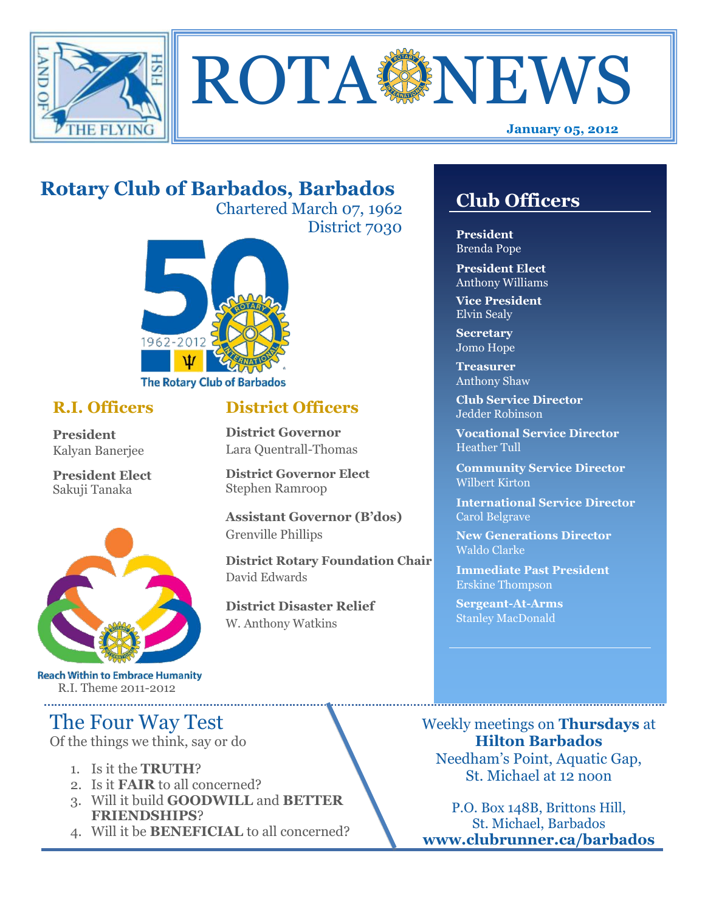



## **Rotary Club of Barbados, Barbados**

Chartered March 07, 1962 District 7030



### **R.I. Officers**

**President**  Kalyan Banerjee

**President Elect** Sakuji Tanaka



**Reach Within to Embrace Humanity** R.I. Theme 2011-2012

## The Four Way Test

Of the things we think, say or do

- 1. Is it the **TRUTH**?
- 2. Is it **FAIR** to all concerned?
- 3. Will it build **GOODWILL** and **BETTER FRIENDSHIPS**?
- 4. Will it be **BENEFICIAL** to all concerned?

## **Club Officers**

**Club Officers** 

**President** Brenda Pope

**President Elect** Anthony Williams

**Vice President** Elvin Sealy

**Secretary** Jomo Hope

**Treasurer** Anthony Shaw

**Club Service Director** Jedder Robinson

**Vocational Service Director** Heather Tull

**Community Service Director** Wilbert Kirton

**International Service Director** Carol Belgrave

**New Generations Director** Waldo Clarke

**Immediate Past President** Erskine Thompson

**Sergeant-At-Arms** Stanley MacDonald

Weekly meetings on **Thursdays** at **Hilton Barbados** Needham's Point, Aquatic Gap, St. Michael at 12 noon

P.O. Box 148B, Brittons Hill, St. Michael, Barbados **www.clubrunner.ca/barbados**

# **District Officers**

**District Governor** Lara Quentrall-Thomas

**District Governor Elect** Stephen Ramroop

**Assistant Governor (B'dos)** Grenville Phillips

**District Rotary Foundation Chair** David Edwards

**District Disaster Relief** W. Anthony Watkins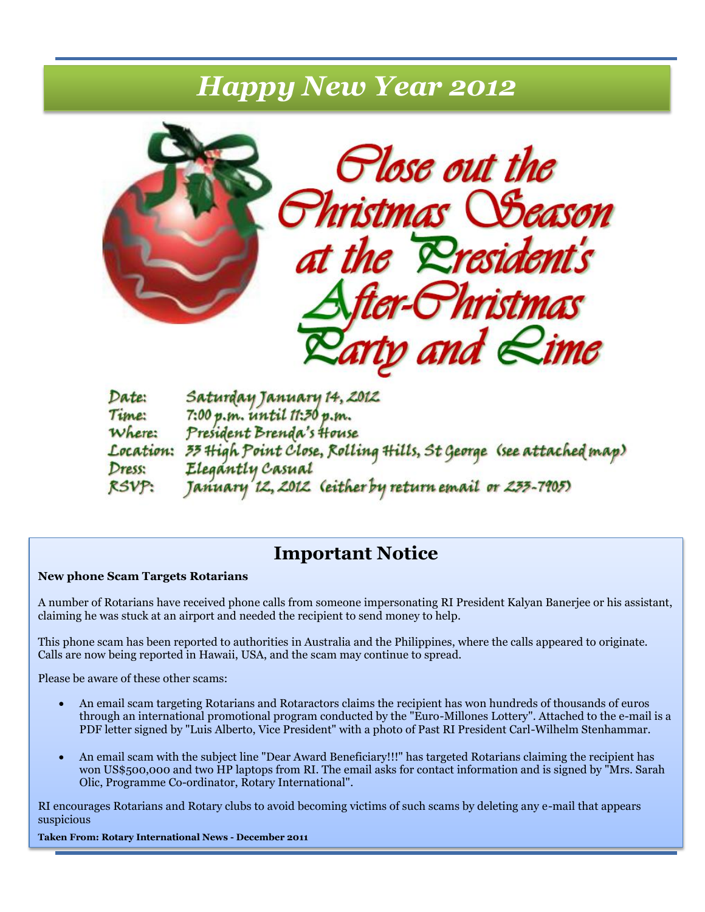# *Happy New Year 2012*



Saturday January 14, 2012 Date: 7:00 p.m. until 11:30 p.m. Time: Time:<br>Where: President Brenda's House Location: 33 High Point Close, Rolling Hills, St George (see attached map) Elegantly Casual Dress: January' 12, 2012 (either by return email or 233-7905)

## **Important Notice**

#### **New phone Scam Targets Rotarians**

A number of Rotarians have received phone calls from someone impersonating RI President Kalyan Banerjee or his assistant, claiming he was stuck at an airport and needed the recipient to send money to help.

This phone scam has been reported to authorities in Australia and the Philippines, where the calls appeared to originate. Calls are now being reported in Hawaii, USA, and the scam may continue to spread.

Please be aware of these other scams:

- An email scam targeting Rotarians and Rotaractors claims the recipient has won hundreds of thousands of euros through an international promotional program conducted by the "Euro-Millones Lottery". Attached to the e-mail is a PDF letter signed by "Luis Alberto, Vice President" with a photo of Past RI President Carl-Wilhelm Stenhammar.
- An email scam with the subject line "Dear Award Beneficiary!!!" has targeted Rotarians claiming the recipient has won US\$500,000 and two HP laptops from RI. The email asks for contact information and is signed by "Mrs. Sarah Olic, Programme Co-ordinator, Rotary International".

RI encourages Rotarians and Rotary clubs to avoid becoming victims of such scams by deleting any e-mail that appears suspicious

**Taken From: Rotary International News - December 2011**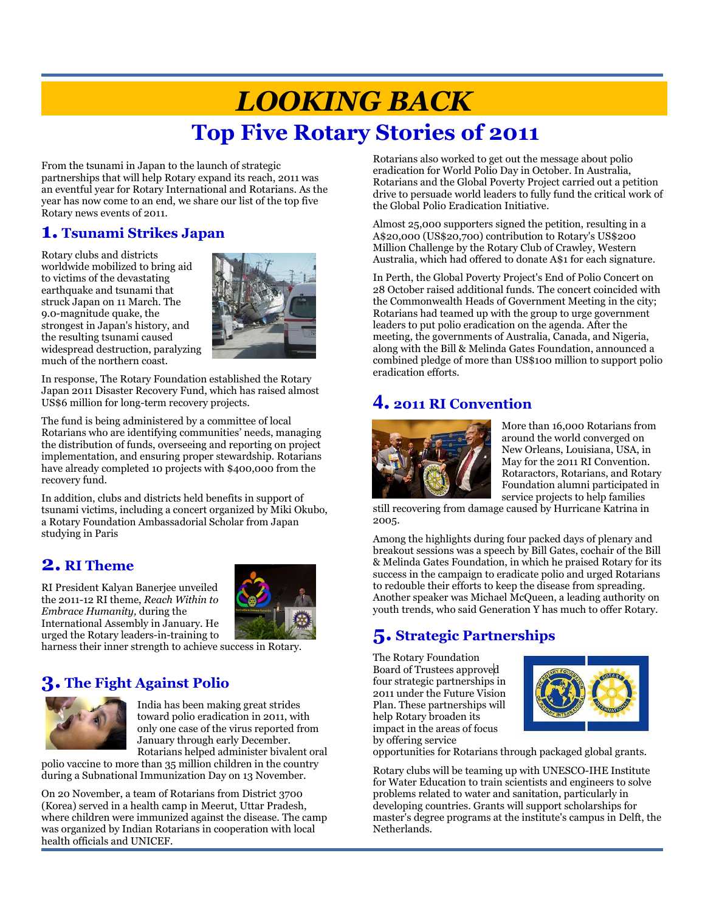# *LOOKING BACK* **Top Five Rotary Stories of 2011**

From the tsunami in Japan to the launch of strategic partnerships that will help Rotary expand its reach, 2011 was an eventful year for Rotary International and Rotarians. As the year has now come to an end, we share our list of the top five Rotary news events of 2011.

### **1. Tsunami Strikes Japan**

Rotary clubs and districts worldwide mobilized to bring aid to victims of the devastating earthquake and tsunami that struck Japan on 11 March. The 9.0-magnitude quake, the strongest in Japan's history, and the resulting tsunami caused widespread destruction, paralyzing much of the northern coast.



In response, The Rotary Foundation established the Rotary Japan 2011 Disaster Recovery Fund, which has raised almost US\$6 million for long-term recovery projects.

The fund is being administered by a committee of local Rotarians who are identifying communities' needs, managing the distribution of funds, overseeing and reporting on project implementation, and ensuring proper stewardship. Rotarians have already completed 10 projects with \$400,000 from the recovery fund.

In addition, clubs and districts held benefits in support of tsunami victims, including a concert organized by Miki Okubo, a Rotary Foundation Ambassadorial Scholar from Japan studying in Paris

### **2. RI Theme**

RI President Kalyan Banerjee unveiled the 2011-12 RI theme, *Reach Within to Embrace Humanity,* during the International Assembly in January. He urged the Rotary leaders-in-training to



harness their inner strength to achieve success in Rotary.

## **3. The Fight Against Polio**



India has been making great strides toward polio eradication in 2011, with only one case of the virus reported from January through early December. Rotarians helped administer bivalent oral

polio vaccine to more than 35 million children in the country during a Subnational Immunization Day on 13 November.

On 20 November, a team of Rotarians from District 3700 (Korea) served in a health camp in Meerut, Uttar Pradesh, where children were immunized against the disease. The camp was organized by Indian Rotarians in cooperation with local health officials and UNICEF.

Rotarians also worked to get out the message about polio eradication for World Polio Day in October. In Australia, Rotarians and the [Global Poverty Project](http://www.globalpovertyproject.com/) carried out a petition drive to persuade world leaders to fully fund the critical work of the Global [Polio Eradication Initiative.](http://www.polioeradication.org/Home.aspx)

Almost 25,000 supporters signed the petition, resulting in a A\$20,000 (US\$20,700) contribution to Rotary's US\$200 Million Challenge by the Rotary Club of Crawley, Western Australia, which had offered to donate A\$1 for each signature.

In Perth, the Global Poverty Project's End of Polio Concert on 28 October raised additional funds. The concert coincided with the Commonwealth Heads of Government Meeting in the city; Rotarians had teamed up with the group to urge government leaders to put polio eradication on the agenda. After the meeting, the governments of Australia, Canada, and Nigeria, along with th[e Bill & Melinda Gates Foundation,](http://www.gatesfoundation.org/Pages/home.aspx) announced a combined pledge of more than US\$100 million to support polio eradication efforts.

## **4. 2011 RI Convention**



More than 16,000 Rotarians from around the world converged on New Orleans, Louisiana, USA, in May for the 2011 RI Convention. Rotaractors, Rotarians, and Rotary Foundation alumni participated in service projects to help families

still recovering from damage caused by Hurricane Katrina in 2005.

Among the highlights during four packed days of plenary and breakout sessions was a speech by Bill Gates, cochair of the Bill & Melinda Gates Foundation, in which he praised Rotary for its success in the campaign to eradicate polio and urged Rotarians to redouble their efforts to keep the disease from spreading. Another speaker was Michael McQueen, a leading authority on youth trends, who said Generation Y has much to offer Rotary.

## **5. Strategic Partnerships**

The Rotary Foundation Board of Trustees approved four strategic partnerships in 2011 under the Future Vision Plan. These partnerships will help Rotary broaden its impact in the areas of focus by offering service



opportunities for Rotarians through packaged global grants.

Rotary clubs will be [teaming up with UNESCO-IHE Institute](http://www.rotary.org/en/MediaAndNews/News/Pages/111128_news_unescoihe.aspx)  [for Water Education](http://www.rotary.org/en/MediaAndNews/News/Pages/111128_news_unescoihe.aspx) to train scientists and engineers to solve problems related to water and sanitation, particularly in developing countries. Grants will support scholarships for master's degree programs at the institute's campus in Delft, the Netherlands.